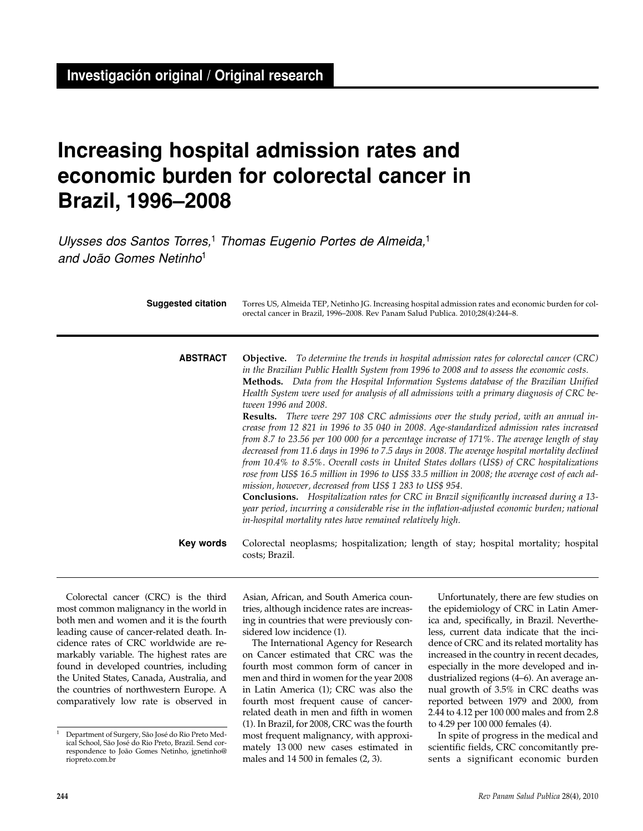# **Increasing hospital admission rates and economic burden for colorectal cancer in Brazil, 1996–2008**

Ulysses dos Santos Torres,<sup>1</sup> Thomas Eugenio Portes de Almeida,<sup>1</sup> and João Gomes Netinho<sup>1</sup>

| Suggested citation | Torres US, Almeida TEP, Netinho JG. Increasing hospital admission rates and economic burden for col-<br>orectal cancer in Brazil, 1996–2008. Rev Panam Salud Publica. 2010;28(4):244–8.                                                                                                                                                                                                                                                                                                                                                                                                                                                                                                                                                                                                                                                                                                                                                                                                                                                                                                                                                                                                                                                                                                                                                 |
|--------------------|-----------------------------------------------------------------------------------------------------------------------------------------------------------------------------------------------------------------------------------------------------------------------------------------------------------------------------------------------------------------------------------------------------------------------------------------------------------------------------------------------------------------------------------------------------------------------------------------------------------------------------------------------------------------------------------------------------------------------------------------------------------------------------------------------------------------------------------------------------------------------------------------------------------------------------------------------------------------------------------------------------------------------------------------------------------------------------------------------------------------------------------------------------------------------------------------------------------------------------------------------------------------------------------------------------------------------------------------|
| <b>ABSTRACT</b>    | <b>Objective.</b> To determine the trends in hospital admission rates for colorectal cancer (CRC)<br>in the Brazilian Public Health System from 1996 to 2008 and to assess the economic costs.<br>Methods. Data from the Hospital Information Systems database of the Brazilian Unified<br>Health System were used for analysis of all admissions with a primary diagnosis of CRC be-<br>tween 1996 and 2008.<br><b>Results.</b> There were 297 108 CRC admissions over the study period, with an annual in-<br>crease from 12 821 in 1996 to 35 040 in 2008. Age-standardized admission rates increased<br>from 8.7 to 23.56 per 100 000 for a percentage increase of 171%. The average length of stay<br>decreased from 11.6 days in 1996 to 7.5 days in 2008. The average hospital mortality declined<br>from 10.4% to 8.5%. Overall costs in United States dollars (US\$) of CRC hospitalizations<br>rose from US\$ 16.5 million in 1996 to US\$ 33.5 million in 2008; the average cost of each ad-<br>mission, however, decreased from US\$ 1 283 to US\$ 954.<br><b>Conclusions.</b> Hospitalization rates for CRC in Brazil significantly increased during a 13-<br>year period, incurring a considerable rise in the inflation-adjusted economic burden; national<br>in-hospital mortality rates have remained relatively high. |
| Key words          | Colorectal neoplasms; hospitalization; length of stay; hospital mortality; hospital<br>costs; Brazil.                                                                                                                                                                                                                                                                                                                                                                                                                                                                                                                                                                                                                                                                                                                                                                                                                                                                                                                                                                                                                                                                                                                                                                                                                                   |

Colorectal cancer (CRC) is the third most common malignancy in the world in both men and women and it is the fourth leading cause of cancer-related death. Incidence rates of CRC worldwide are remarkably variable. The highest rates are found in developed countries, including the United States, Canada, Australia, and the countries of northwestern Europe. A comparatively low rate is observed in

Asian, African, and South America countries, although incidence rates are increasing in countries that were previously considered low incidence (1).

The International Agency for Research on Cancer estimated that CRC was the fourth most common form of cancer in men and third in women for the year 2008 in Latin America (1); CRC was also the fourth most frequent cause of cancerrelated death in men and fifth in women (1). In Brazil, for 2008, CRC was the fourth most frequent malignancy, with approximately 13 000 new cases estimated in males and 14 500 in females (2, 3).

Unfortunately, there are few studies on the epidemiology of CRC in Latin America and, specifically, in Brazil. Nevertheless, current data indicate that the incidence of CRC and its related mortality has increased in the country in recent decades, especially in the more developed and industrialized regions (4–6). An average annual growth of 3.5% in CRC deaths was reported between 1979 and 2000, from 2.44 to 4.12 per 100 000 males and from 2.8 to 4.29 per 100 000 females (4).

In spite of progress in the medical and scientific fields, CRC concomitantly presents a significant economic burden

<sup>1</sup> Department of Surgery, São José do Rio Preto Medical School, São José do Rio Preto, Brazil. Send correspondence to João Gomes Netinho, jgnetinho@ riopreto.com.br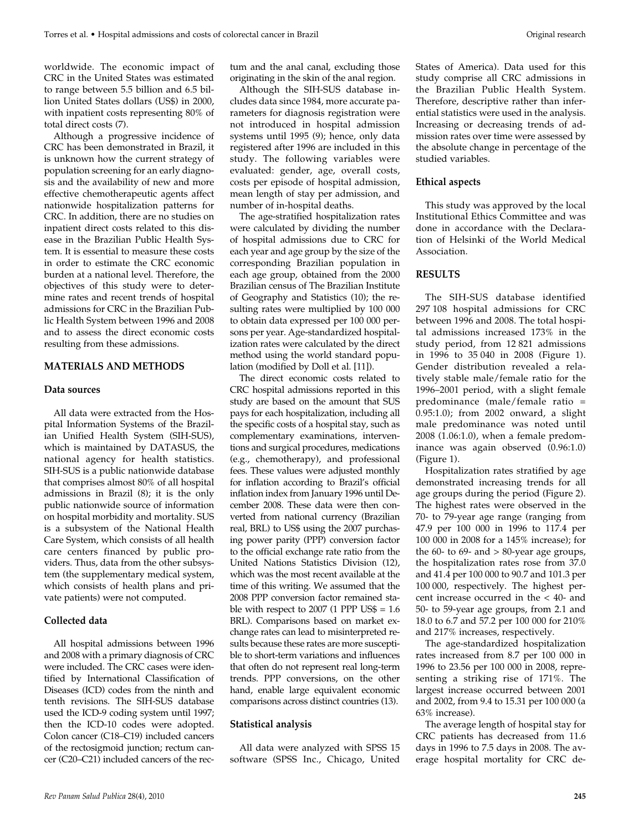worldwide. The economic impact of CRC in the United States was estimated to range between 5.5 billion and 6.5 billion United States dollars (US\$) in 2000, with inpatient costs representing 80% of total direct costs (7).

Although a progressive incidence of CRC has been demonstrated in Brazil, it is unknown how the current strategy of population screening for an early diagnosis and the availability of new and more effective chemotherapeutic agents affect nationwide hospitalization patterns for CRC. In addition, there are no studies on inpatient direct costs related to this disease in the Brazilian Public Health System. It is essential to measure these costs in order to estimate the CRC economic burden at a national level. Therefore, the objectives of this study were to determine rates and recent trends of hospital admissions for CRC in the Brazilian Public Health System between 1996 and 2008 and to assess the direct economic costs resulting from these admissions.

## **MATERIALS AND METHODS**

#### **Data sources**

All data were extracted from the Hospital Information Systems of the Brazilian Unified Health System (SIH-SUS), which is maintained by DATASUS, the national agency for health statistics. SIH-SUS is a public nationwide database that comprises almost 80% of all hospital admissions in Brazil (8); it is the only public nationwide source of information on hospital morbidity and mortality. SUS is a subsystem of the National Health Care System, which consists of all health care centers financed by public providers. Thus, data from the other subsystem (the supplementary medical system, which consists of health plans and private patients) were not computed.

## **Collected data**

All hospital admissions between 1996 and 2008 with a primary diagnosis of CRC were included. The CRC cases were identified by International Classification of Diseases (ICD) codes from the ninth and tenth revisions. The SIH-SUS database used the ICD-9 coding system until 1997; then the ICD-10 codes were adopted. Colon cancer (C18–C19) included cancers of the rectosigmoid junction; rectum cancer (C20–C21) included cancers of the rectum and the anal canal, excluding those originating in the skin of the anal region.

Although the SIH-SUS database includes data since 1984, more accurate parameters for diagnosis registration were not introduced in hospital admission systems until 1995 (9); hence, only data registered after 1996 are included in this study. The following variables were evaluated: gender, age, overall costs, costs per episode of hospital admission, mean length of stay per admission, and number of in-hospital deaths.

The age-stratified hospitalization rates were calculated by dividing the number of hospital admissions due to CRC for each year and age group by the size of the corresponding Brazilian population in each age group, obtained from the 2000 Brazilian census of The Brazilian Institute of Geography and Statistics (10); the resulting rates were multiplied by 100 000 to obtain data expressed per 100 000 persons per year. Age-standardized hospitalization rates were calculated by the direct method using the world standard population (modified by Doll et al. [11]).

The direct economic costs related to CRC hospital admissions reported in this study are based on the amount that SUS pays for each hospitalization, including all the specific costs of a hospital stay, such as complementary examinations, interventions and surgical procedures, medications (e.g., chemotherapy), and professional fees. These values were adjusted monthly for inflation according to Brazil's official inflation index from January 1996 until December 2008. These data were then converted from national currency (Brazilian real, BRL) to US\$ using the 2007 purchasing power parity (PPP) conversion factor to the official exchange rate ratio from the United Nations Statistics Division (12), which was the most recent available at the time of this writing. We assumed that the 2008 PPP conversion factor remained stable with respect to  $2007$  (1 PPP US\$ =  $1.6$ ) BRL). Comparisons based on market exchange rates can lead to misinterpreted results because these rates are more susceptible to short-term variations and influences that often do not represent real long-term trends. PPP conversions, on the other hand, enable large equivalent economic comparisons across distinct countries (13).

#### **Statistical analysis**

All data were analyzed with SPSS 15 software (SPSS Inc., Chicago, United States of America). Data used for this study comprise all CRC admissions in the Brazilian Public Health System. Therefore, descriptive rather than inferential statistics were used in the analysis. Increasing or decreasing trends of admission rates over time were assessed by the absolute change in percentage of the studied variables.

#### **Ethical aspects**

This study was approved by the local Institutional Ethics Committee and was done in accordance with the Declaration of Helsinki of the World Medical Association.

## **RESULTS**

The SIH-SUS database identified 297 108 hospital admissions for CRC between 1996 and 2008. The total hospital admissions increased 173% in the study period, from 12 821 admissions in 1996 to 35 040 in 2008 (Figure 1). Gender distribution revealed a relatively stable male/female ratio for the 1996–2001 period, with a slight female predominance (male/female ratio = 0.95:1.0); from 2002 onward, a slight male predominance was noted until 2008 (1.06:1.0), when a female predominance was again observed (0.96:1.0) (Figure 1).

Hospitalization rates stratified by age demonstrated increasing trends for all age groups during the period (Figure 2). The highest rates were observed in the 70- to 79-year age range (ranging from 47.9 per 100 000 in 1996 to 117.4 per 100 000 in 2008 for a 145% increase); for the  $60-$  to  $69-$  and  $> 80$ -year age groups, the hospitalization rates rose from 37.0 and 41.4 per 100 000 to 90.7 and 101.3 per 100 000, respectively. The highest percent increase occurred in the < 40- and 50- to 59-year age groups, from 2.1 and 18.0 to 6.7 and 57.2 per 100 000 for 210% and 217% increases, respectively.

The age-standardized hospitalization rates increased from 8.7 per 100 000 in 1996 to 23.56 per 100 000 in 2008, representing a striking rise of 171%. The largest increase occurred between 2001 and 2002, from 9.4 to 15.31 per 100 000 (a 63% increase).

The average length of hospital stay for CRC patients has decreased from 11.6 days in 1996 to 7.5 days in 2008. The average hospital mortality for CRC de-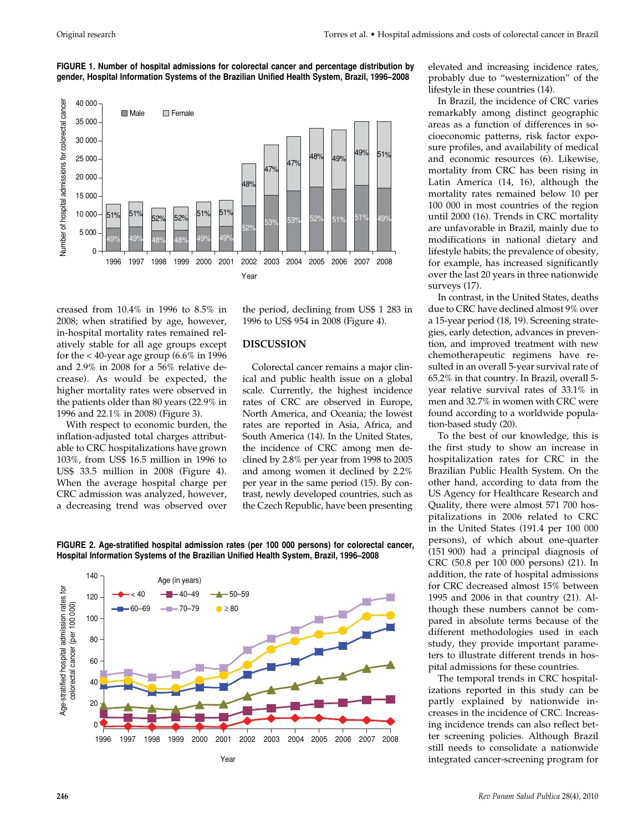



creased from 10.4% in 1996 to 8.5% in 2008; when stratified by age, however, in-hospital mortality rates remained relatively stable for all age groups except for the  $<$  40-year age group (6.6% in 1996 and 2.9% in 2008 for a 56% relative decrease). As would be expected, the higher mortality rates were observed in the patients older than 80 years (22.9% in 1996 and 22.1% in 2008) (Figure 3).

With respect to economic burden, the inflation-adjusted total charges attributable to CRC hospitalizations have grown 103%, from US\$ 16.5 million in 1996 to US\$ 33.5 million in 2008 (Figure 4). When the average hospital charge per CRC admission was analyzed, however, a decreasing trend was observed over

the period, declining from US\$ 1 283 in 1996 to US\$ 954 in 2008 (Figure 4).

## **DISCUSSION**

Colorectal cancer remains a major clinical and public health issue on a global scale. Currently, the highest incidence rates of CRC are observed in Europe, North America, and Oceania; the lowest rates are reported in Asia, Africa, and South America (14). In the United States, the incidence of CRC among men declined by 2.8% per year from 1998 to 2005 and among women it declined by 2.2% per year in the same period (15). By contrast, newly developed countries, such as the Czech Republic, have been presenting



**FIGURE 2. Age-stratified hospital admission rates (per 100 000 persons) for colorectal cancer, Hospital Information Systems of the Brazilian Unified Health System, Brazil, 1996–2008**

elevated and increasing incidence rates, probably due to "westernization" of the lifestyle in these countries (14).

In Brazil, the incidence of CRC varies remarkably among distinct geographic areas as a function of differences in socioeconomic patterns, risk factor exposure profiles, and availability of medical and economic resources (6). Likewise, mortality from CRC has been rising in Latin America (14, 16), although the mortality rates remained below 10 per 100 000 in most countries of the region until 2000 (16). Trends in CRC mortality are unfavorable in Brazil, mainly due to modifications in national dietary and lifestyle habits; the prevalence of obesity, for example, has increased significantly over the last 20 years in three nationwide surveys (17).

In contrast, in the United States, deaths due to CRC have declined almost 9% over a 15-year period (18, 19). Screening strategies, early detection, advances in prevention, and improved treatment with new chemotherapeutic regimens have resulted in an overall 5-year survival rate of 65.2% in that country. In Brazil, overall 5 year relative survival rates of 33.1% in men and 32.7% in women with CRC were found according to a worldwide population-based study (20).

To the best of our knowledge, this is the first study to show an increase in hospitalization rates for CRC in the Brazilian Public Health System. On the other hand, according to data from the US Agency for Healthcare Research and Quality, there were almost 571 700 hospitalizations in 2006 related to CRC in the United States (191.4 per 100 000 persons), of which about one-quarter (151 900) had a principal diagnosis of CRC (50.8 per 100 000 persons) (21). In addition, the rate of hospital admissions for CRC decreased almost 15% between 1995 and 2006 in that country (21). Although these numbers cannot be compared in absolute terms because of the different methodologies used in each study, they provide important parameters to illustrate different trends in hospital admissions for these countries.

The temporal trends in CRC hospitalizations reported in this study can be partly explained by nationwide increases in the incidence of CRC. Increasing incidence trends can also reflect better screening policies. Although Brazil still needs to consolidate a nationwide integrated cancer-screening program for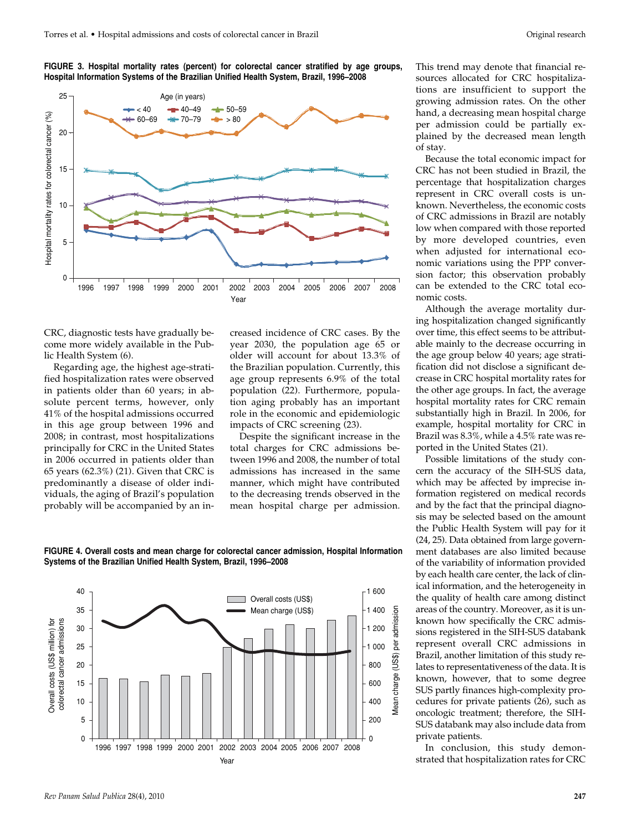**FIGURE 3. Hospital mortality rates (percent) for colorectal cancer stratified by age groups, Hospital Information Systems of the Brazilian Unified Health System, Brazil, 1996–2008**



CRC, diagnostic tests have gradually become more widely available in the Public Health System (6).

Regarding age, the highest age-stratified hospitalization rates were observed in patients older than 60 years; in absolute percent terms, however, only 41% of the hospital admissions occurred in this age group between 1996 and 2008; in contrast, most hospitalizations principally for CRC in the United States in 2006 occurred in patients older than 65 years (62.3%) (21). Given that CRC is predominantly a disease of older individuals, the aging of Brazil's population probably will be accompanied by an increased incidence of CRC cases. By the year 2030, the population age 65 or older will account for about 13.3% of the Brazilian population. Currently, this age group represents 6.9% of the total population (22). Furthermore, population aging probably has an important role in the economic and epidemiologic impacts of CRC screening (23).

Despite the significant increase in the total charges for CRC admissions between 1996 and 2008, the number of total admissions has increased in the same manner, which might have contributed to the decreasing trends observed in the mean hospital charge per admission.

**FIGURE 4. Overall costs and mean charge for colorectal cancer admission, Hospital Information Systems of the Brazilian Unified Health System, Brazil, 1996–2008**



This trend may denote that financial resources allocated for CRC hospitalizations are insufficient to support the growing admission rates. On the other hand, a decreasing mean hospital charge per admission could be partially explained by the decreased mean length of stay.

Because the total economic impact for CRC has not been studied in Brazil, the percentage that hospitalization charges represent in CRC overall costs is unknown. Nevertheless, the economic costs of CRC admissions in Brazil are notably low when compared with those reported by more developed countries, even when adjusted for international economic variations using the PPP conversion factor; this observation probably can be extended to the CRC total economic costs.

Although the average mortality during hospitalization changed significantly over time, this effect seems to be attributable mainly to the decrease occurring in the age group below 40 years; age stratification did not disclose a significant decrease in CRC hospital mortality rates for the other age groups. In fact, the average hospital mortality rates for CRC remain substantially high in Brazil. In 2006, for example, hospital mortality for CRC in Brazil was 8.3%, while a 4.5% rate was reported in the United States (21).

Possible limitations of the study concern the accuracy of the SIH-SUS data, which may be affected by imprecise information registered on medical records and by the fact that the principal diagnosis may be selected based on the amount the Public Health System will pay for it (24, 25). Data obtained from large government databases are also limited because of the variability of information provided by each health care center, the lack of clinical information, and the heterogeneity in the quality of health care among distinct areas of the country. Moreover, as it is unknown how specifically the CRC admissions registered in the SIH-SUS databank represent overall CRC admissions in Brazil, another limitation of this study relates to representativeness of the data. It is known, however, that to some degree SUS partly finances high-complexity procedures for private patients (26), such as oncologic treatment; therefore, the SIH-SUS databank may also include data from private patients.

In conclusion, this study demonstrated that hospitalization rates for CRC